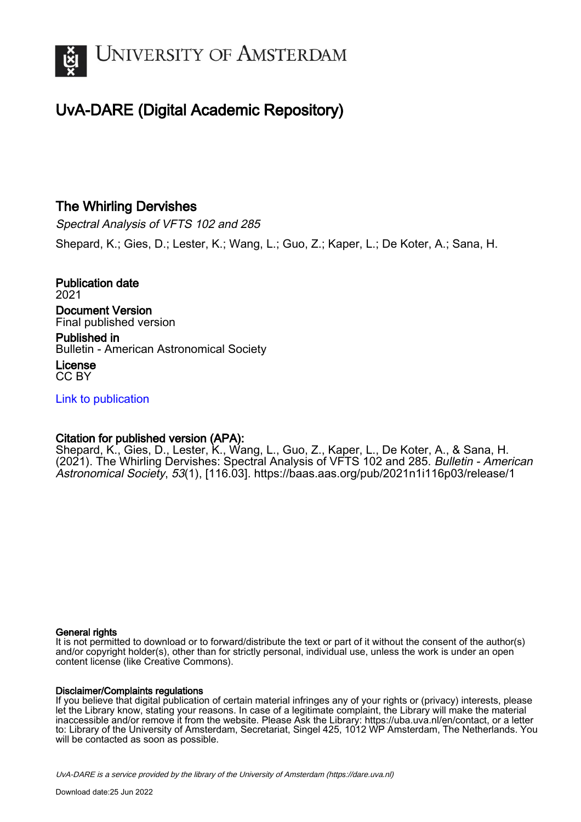

## UvA-DARE (Digital Academic Repository)

### The Whirling Dervishes

Spectral Analysis of VFTS 102 and 285 Shepard, K.; Gies, D.; Lester, K.; Wang, L.; Guo, Z.; Kaper, L.; De Koter, A.; Sana, H.

Publication date 2021 Document Version Final published version Published in

Bulletin - American Astronomical Society

License CC BY

[Link to publication](https://dare.uva.nl/personal/pure/en/publications/the-whirling-dervishes(83717427-58cd-4f26-9af4-207724d5603c).html)

#### Citation for published version (APA):

Shepard, K., Gies, D., Lester, K., Wang, L., Guo, Z., Kaper, L., De Koter, A., & Sana, H. (2021). The Whirling Dervishes: Spectral Analysis of VFTS 102 and 285. Bulletin - American Astronomical Society, 53(1), [116.03].<https://baas.aas.org/pub/2021n1i116p03/release/1>

#### General rights

It is not permitted to download or to forward/distribute the text or part of it without the consent of the author(s) and/or copyright holder(s), other than for strictly personal, individual use, unless the work is under an open content license (like Creative Commons).

#### Disclaimer/Complaints regulations

If you believe that digital publication of certain material infringes any of your rights or (privacy) interests, please let the Library know, stating your reasons. In case of a legitimate complaint, the Library will make the material inaccessible and/or remove it from the website. Please Ask the Library: https://uba.uva.nl/en/contact, or a letter to: Library of the University of Amsterdam, Secretariat, Singel 425, 1012 WP Amsterdam, The Netherlands. You will be contacted as soon as possible.

UvA-DARE is a service provided by the library of the University of Amsterdam (http*s*://dare.uva.nl)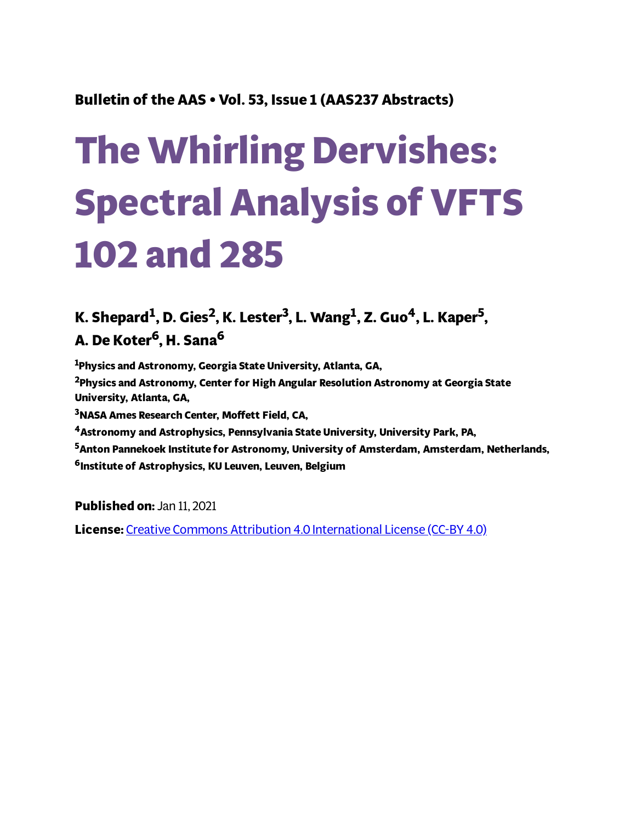## **Bulletin of the AAS • Vol. 53, Issue 1 (AAS237 Abstracts)**

# **The Whirling Dervishes: Spectral Analysis of VFTS 102 and 285**

## K. Shepard $^1$ , D. Gies $^2$ , K. Lester $^3$ , L. Wang $^1$ , Z. Guo $^4$ , L. Kaper $^5$ , **A. De Koter <sup>6</sup>, H. Sana 6**

**<sup>1</sup>Physics and Astronomy, Georgia State University, Atlanta, GA,**

**<sup>2</sup>Physics and Astronomy, Center for High Angular Resolution Astronomy at Georgia State University, Atlanta, GA,**

**<sup>3</sup>NASA Ames Research Center, Moett Field, CA,**

**<sup>4</sup>Astronomy and Astrophysics, Pennsylvania State University, University Park, PA,**

**<sup>5</sup>Anton Pannekoek Institute for Astronomy, University of Amsterdam, Amsterdam, Netherlands, <sup>6</sup>Institute of Astrophysics, KU Leuven, Leuven, Belgium**

**Published on:** Jan 11, 2021

**License:** Creative Commons Attribution 4.0 [International](https://creativecommons.org/licenses/by/4.0/) License (CC-BY 4.0)